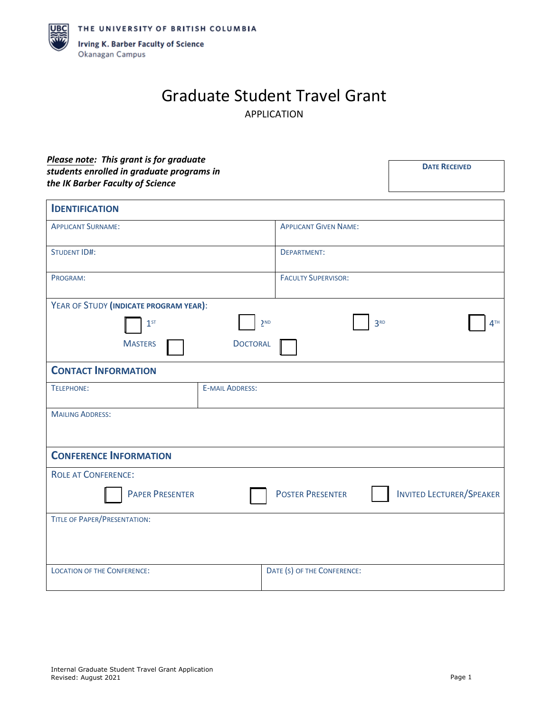

## Graduate Student Travel Grant APPLICATION

## *Please note: This grant is for graduate students enrolled in graduate programs in the IK Barber Faculty of Science*

| <b>IDENTIFICATION</b>                  |                        |                              |                 |                                 |
|----------------------------------------|------------------------|------------------------------|-----------------|---------------------------------|
| <b>APPLICANT SURNAME:</b>              |                        | <b>APPLICANT GIVEN NAME:</b> |                 |                                 |
| <b>STUDENT ID#:</b>                    |                        | <b>DEPARTMENT:</b>           |                 |                                 |
| PROGRAM:                               |                        | <b>FACULTY SUPERVISOR:</b>   |                 |                                 |
| YEAR OF STUDY (INDICATE PROGRAM YEAR): |                        |                              |                 |                                 |
| 1 <sup>ST</sup>                        | 2 <sub>ND</sub>        |                              | 3 <sup>RD</sup> | 4 <sup>TH</sup>                 |
| <b>MASTERS</b>                         | <b>DOCTORAL</b>        |                              |                 |                                 |
| <b>CONTACT INFORMATION</b>             |                        |                              |                 |                                 |
| TELEPHONE:                             | <b>E-MAIL ADDRESS:</b> |                              |                 |                                 |
| <b>MAILING ADDRESS:</b>                |                        |                              |                 |                                 |
|                                        |                        |                              |                 |                                 |
| <b>CONFERENCE INFORMATION</b>          |                        |                              |                 |                                 |
| <b>ROLE AT CONFERENCE:</b>             |                        |                              |                 |                                 |
| <b>PAPER PRESENTER</b>                 |                        | <b>POSTER PRESENTER</b>      |                 | <b>INVITED LECTURER/SPEAKER</b> |
| <b>TITLE OF PAPER/PRESENTATION:</b>    |                        |                              |                 |                                 |
|                                        |                        |                              |                 |                                 |
|                                        |                        |                              |                 |                                 |
| <b>LOCATION OF THE CONFERENCE:</b>     |                        | DATE (S) OF THE CONFERENCE:  |                 |                                 |

**DATE RECEIVED**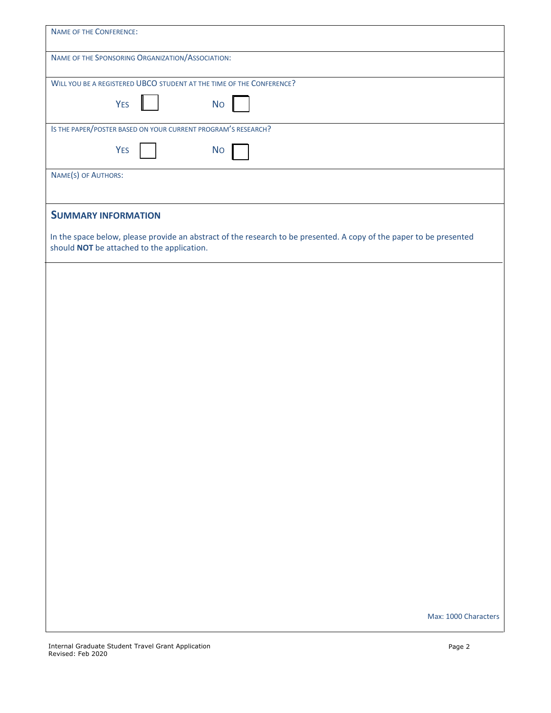| <b>NAME OF THE CONFERENCE:</b>                                                                                                                                    |
|-------------------------------------------------------------------------------------------------------------------------------------------------------------------|
| NAME OF THE SPONSORING ORGANIZATION/ASSOCIATION:                                                                                                                  |
| WILL YOU BE A REGISTERED UBCO STUDENT AT THE TIME OF THE CONFERENCE?                                                                                              |
| <b>YES</b><br><b>No</b>                                                                                                                                           |
| IS THE PAPER/POSTER BASED ON YOUR CURRENT PROGRAM'S RESEARCH?                                                                                                     |
| <b>YES</b><br><b>No</b>                                                                                                                                           |
| NAME(S) OF AUTHORS:                                                                                                                                               |
|                                                                                                                                                                   |
| <b>SUMMARY INFORMATION</b>                                                                                                                                        |
| In the space below, please provide an abstract of the research to be presented. A copy of the paper to be presented<br>should NOT be attached to the application. |
|                                                                                                                                                                   |
|                                                                                                                                                                   |
|                                                                                                                                                                   |
|                                                                                                                                                                   |
|                                                                                                                                                                   |
|                                                                                                                                                                   |
|                                                                                                                                                                   |
|                                                                                                                                                                   |
|                                                                                                                                                                   |
|                                                                                                                                                                   |
|                                                                                                                                                                   |
|                                                                                                                                                                   |
|                                                                                                                                                                   |
|                                                                                                                                                                   |
|                                                                                                                                                                   |
|                                                                                                                                                                   |
|                                                                                                                                                                   |
|                                                                                                                                                                   |
|                                                                                                                                                                   |
|                                                                                                                                                                   |
|                                                                                                                                                                   |
| Max: 1000 Characters                                                                                                                                              |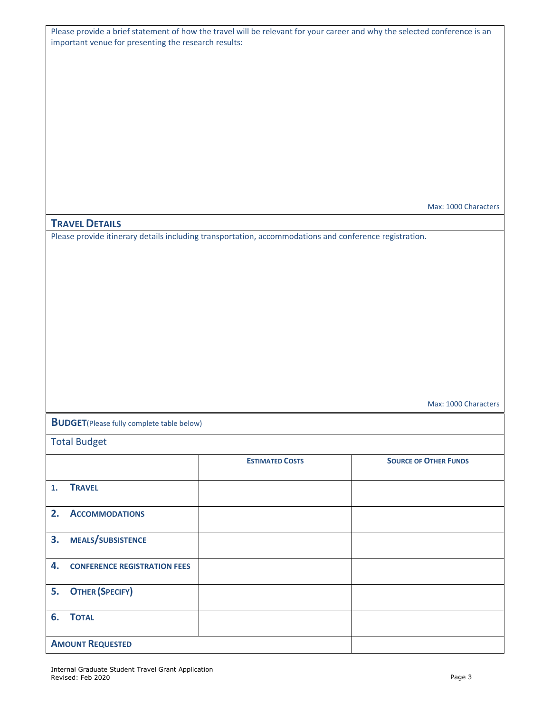| Please provide a brief statement of how the travel will be relevant for your career and why the selected conference is an |
|---------------------------------------------------------------------------------------------------------------------------|
| important venue for presenting the research results:                                                                      |

Max: 1000 Characters

## **TRAVEL DETAILS**

Please provide itinerary details including transportation, accommodations and conference registration.

Max: 1000 Characters

**BUDGET**(Please fully complete table below)

Total Budget

|    |                                     | <b>ESTIMATED COSTS</b> | <b>SOURCE OF OTHER FUNDS</b> |
|----|-------------------------------------|------------------------|------------------------------|
| 1. | <b>TRAVEL</b>                       |                        |                              |
| 2. | <b>ACCOMMODATIONS</b>               |                        |                              |
| 3. | MEALS/SUBSISTENCE                   |                        |                              |
| 4. | <b>CONFERENCE REGISTRATION FEES</b> |                        |                              |
|    | 5. OTHER (SPECIFY)                  |                        |                              |
|    | 6. TOTAL                            |                        |                              |
|    | <b>AMOUNT REQUESTED</b>             |                        |                              |